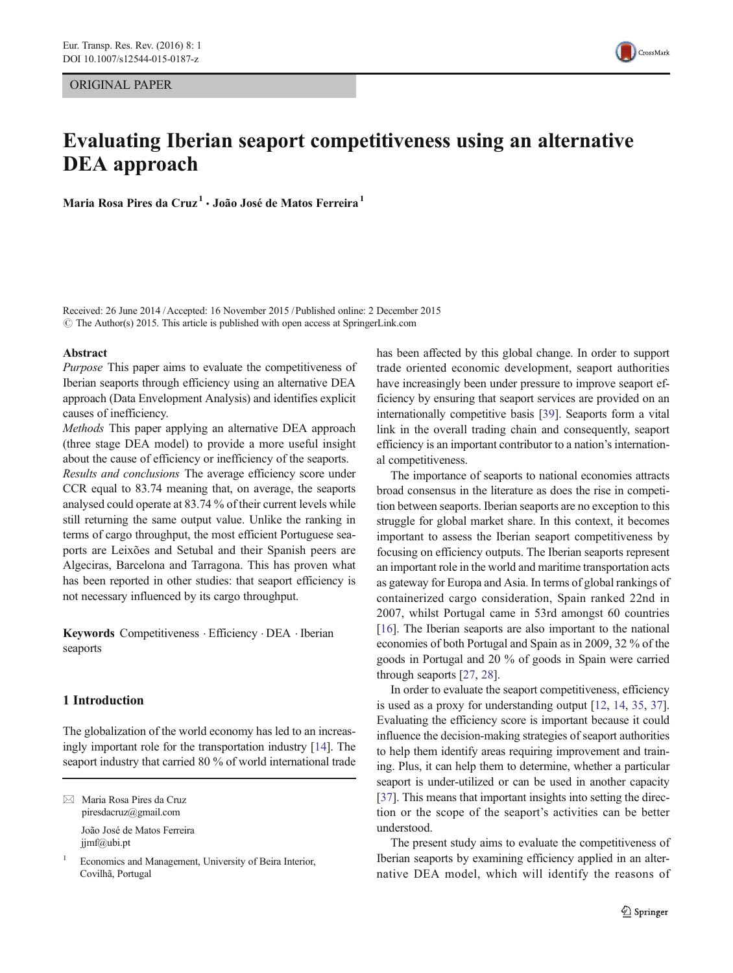# ORIGINAL PAPER

# Evaluating Iberian seaport competitiveness using an alternative DEA approach

Maria Rosa Pires da Cruz<sup>1</sup> · João José de Matos Ferreira<sup>1</sup>

Received: 26 June 2014 /Accepted: 16 November 2015 /Published online: 2 December 2015  $\odot$  The Author(s) 2015. This article is published with open access at SpringerLink.com

# Abstract

Purpose This paper aims to evaluate the competitiveness of Iberian seaports through efficiency using an alternative DEA approach (Data Envelopment Analysis) and identifies explicit causes of inefficiency.

Methods This paper applying an alternative DEA approach (three stage DEA model) to provide a more useful insight about the cause of efficiency or inefficiency of the seaports.

Results and conclusions The average efficiency score under CCR equal to 83.74 meaning that, on average, the seaports analysed could operate at 83.74 % of their current levels while still returning the same output value. Unlike the ranking in terms of cargo throughput, the most efficient Portuguese seaports are Leixões and Setubal and their Spanish peers are Algeciras, Barcelona and Tarragona. This has proven what has been reported in other studies: that seaport efficiency is not necessary influenced by its cargo throughput.

Keywords Competitiveness . Efficiency . DEA . Iberian seaports

# 1 Introduction

The globalization of the world economy has led to an increasingly important role for the transportation industry [[14](#page-8-0)]. The seaport industry that carried 80 % of world international trade

 $\boxtimes$  Maria Rosa Pires da Cruz piresdacruz@gmail.com João José de Matos Ferreira jjmf@ubi.pt

Economics and Management, University of Beira Interior, Covilhã, Portugal

has been affected by this global change. In order to support trade oriented economic development, seaport authorities have increasingly been under pressure to improve seaport efficiency by ensuring that seaport services are provided on an internationally competitive basis [\[39\]](#page-8-0). Seaports form a vital link in the overall trading chain and consequently, seaport efficiency is an important contributor to a nation's international competitiveness.

The importance of seaports to national economies attracts broad consensus in the literature as does the rise in competition between seaports. Iberian seaports are no exception to this struggle for global market share. In this context, it becomes important to assess the Iberian seaport competitiveness by focusing on efficiency outputs. The Iberian seaports represent an important role in the world and maritime transportation acts as gateway for Europa and Asia. In terms of global rankings of containerized cargo consideration, Spain ranked 22nd in 2007, whilst Portugal came in 53rd amongst 60 countries [\[16](#page-8-0)]. The Iberian seaports are also important to the national economies of both Portugal and Spain as in 2009, 32 % of the goods in Portugal and 20 % of goods in Spain were carried through seaports [\[27](#page-8-0), [28](#page-8-0)].

In order to evaluate the seaport competitiveness, efficiency is used as a proxy for understanding output [\[12](#page-8-0), [14](#page-8-0), [35](#page-8-0), [37\]](#page-8-0). Evaluating the efficiency score is important because it could influence the decision-making strategies of seaport authorities to help them identify areas requiring improvement and training. Plus, it can help them to determine, whether a particular seaport is under-utilized or can be used in another capacity [\[37](#page-8-0)]. This means that important insights into setting the direction or the scope of the seaport's activities can be better understood.

The present study aims to evaluate the competitiveness of Iberian seaports by examining efficiency applied in an alternative DEA model, which will identify the reasons of

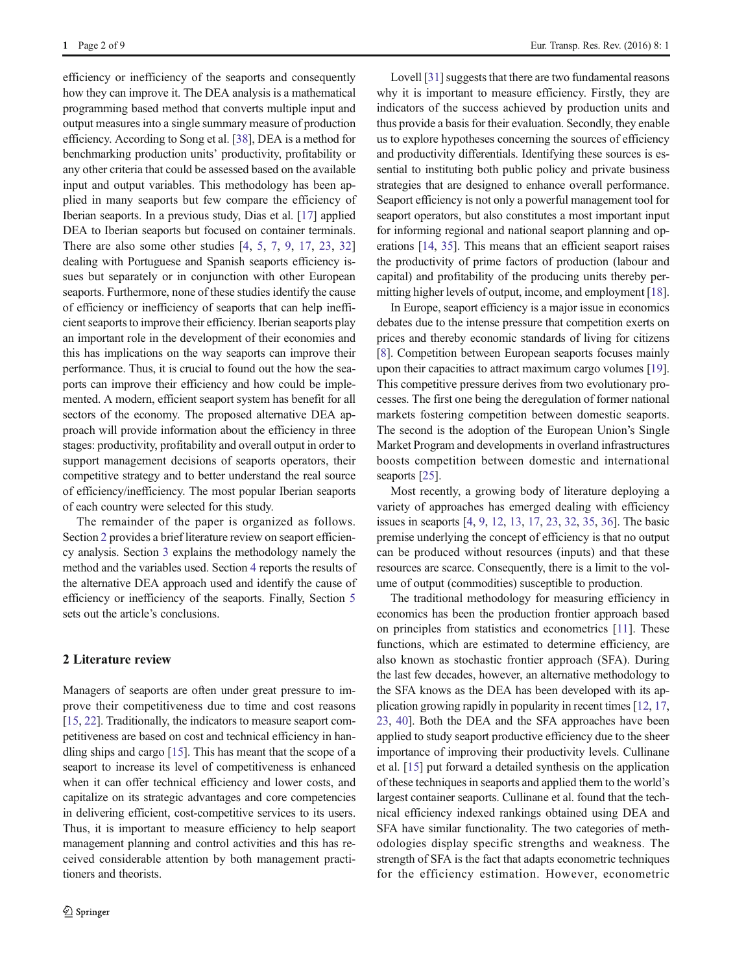efficiency or inefficiency of the seaports and consequently how they can improve it. The DEA analysis is a mathematical programming based method that converts multiple input and output measures into a single summary measure of production efficiency. According to Song et al. [[38\]](#page-8-0), DEA is a method for benchmarking production units' productivity, profitability or any other criteria that could be assessed based on the available input and output variables. This methodology has been applied in many seaports but few compare the efficiency of Iberian seaports. In a previous study, Dias et al. [[17](#page-8-0)] applied DEA to Iberian seaports but focused on container terminals. There are also some other studies [[4,](#page-7-0) [5,](#page-7-0) [7](#page-8-0), [9,](#page-8-0) [17](#page-8-0), [23,](#page-8-0) [32\]](#page-8-0) dealing with Portuguese and Spanish seaports efficiency issues but separately or in conjunction with other European seaports. Furthermore, none of these studies identify the cause of efficiency or inefficiency of seaports that can help inefficient seaports to improve their efficiency. Iberian seaports play an important role in the development of their economies and this has implications on the way seaports can improve their performance. Thus, it is crucial to found out the how the seaports can improve their efficiency and how could be implemented. A modern, efficient seaport system has benefit for all sectors of the economy. The proposed alternative DEA approach will provide information about the efficiency in three stages: productivity, profitability and overall output in order to support management decisions of seaports operators, their competitive strategy and to better understand the real source of efficiency/inefficiency. The most popular Iberian seaports of each country were selected for this study.

The remainder of the paper is organized as follows. Section 2 provides a brief literature review on seaport efficiency analysis. Section [3](#page-2-0) explains the methodology namely the method and the variables used. Section [4](#page-4-0) reports the results of the alternative DEA approach used and identify the cause of efficiency or inefficiency of the seaports. Finally, Section [5](#page-6-0) sets out the article's conclusions.

#### 2 Literature review

Managers of seaports are often under great pressure to improve their competitiveness due to time and cost reasons [\[15,](#page-8-0) [22](#page-8-0)]. Traditionally, the indicators to measure seaport competitiveness are based on cost and technical efficiency in handling ships and cargo [\[15](#page-8-0)]. This has meant that the scope of a seaport to increase its level of competitiveness is enhanced when it can offer technical efficiency and lower costs, and capitalize on its strategic advantages and core competencies in delivering efficient, cost-competitive services to its users. Thus, it is important to measure efficiency to help seaport management planning and control activities and this has received considerable attention by both management practitioners and theorists.

Lovell [[31\]](#page-8-0) suggests that there are two fundamental reasons why it is important to measure efficiency. Firstly, they are indicators of the success achieved by production units and thus provide a basis for their evaluation. Secondly, they enable us to explore hypotheses concerning the sources of efficiency and productivity differentials. Identifying these sources is essential to instituting both public policy and private business strategies that are designed to enhance overall performance. Seaport efficiency is not only a powerful management tool for seaport operators, but also constitutes a most important input for informing regional and national seaport planning and operations [\[14,](#page-8-0) [35](#page-8-0)]. This means that an efficient seaport raises the productivity of prime factors of production (labour and capital) and profitability of the producing units thereby permitting higher levels of output, income, and employment [[18\]](#page-8-0).

In Europe, seaport efficiency is a major issue in economics debates due to the intense pressure that competition exerts on prices and thereby economic standards of living for citizens [\[8](#page-8-0)]. Competition between European seaports focuses mainly upon their capacities to attract maximum cargo volumes [[19\]](#page-8-0). This competitive pressure derives from two evolutionary processes. The first one being the deregulation of former national markets fostering competition between domestic seaports. The second is the adoption of the European Union's Single Market Program and developments in overland infrastructures boosts competition between domestic and international seaports [[25](#page-8-0)].

Most recently, a growing body of literature deploying a variety of approaches has emerged dealing with efficiency issues in seaports [\[4](#page-7-0), [9](#page-8-0), [12](#page-8-0), [13,](#page-8-0) [17,](#page-8-0) [23,](#page-8-0) [32,](#page-8-0) [35](#page-8-0), [36](#page-8-0)]. The basic premise underlying the concept of efficiency is that no output can be produced without resources (inputs) and that these resources are scarce. Consequently, there is a limit to the volume of output (commodities) susceptible to production.

The traditional methodology for measuring efficiency in economics has been the production frontier approach based on principles from statistics and econometrics [\[11\]](#page-8-0). These functions, which are estimated to determine efficiency, are also known as stochastic frontier approach (SFA). During the last few decades, however, an alternative methodology to the SFA knows as the DEA has been developed with its application growing rapidly in popularity in recent times [[12,](#page-8-0) [17,](#page-8-0) [23,](#page-8-0) [40\]](#page-8-0). Both the DEA and the SFA approaches have been applied to study seaport productive efficiency due to the sheer importance of improving their productivity levels. Cullinane et al. [\[15\]](#page-8-0) put forward a detailed synthesis on the application of these techniques in seaports and applied them to the world's largest container seaports. Cullinane et al. found that the technical efficiency indexed rankings obtained using DEA and SFA have similar functionality. The two categories of methodologies display specific strengths and weakness. The strength of SFA is the fact that adapts econometric techniques for the efficiency estimation. However, econometric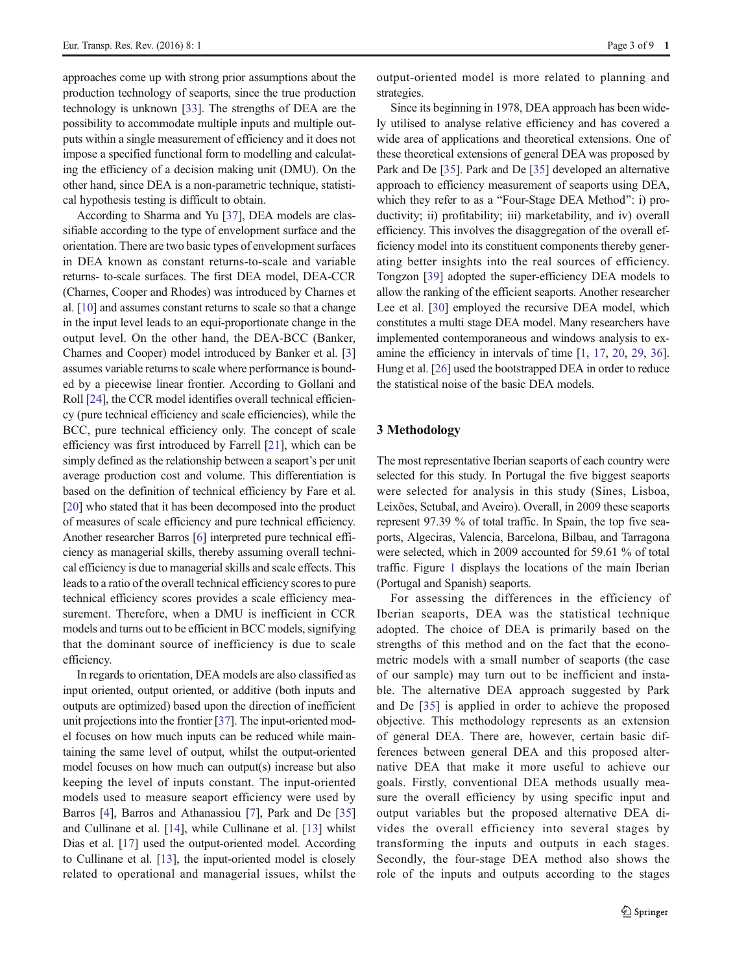<span id="page-2-0"></span>approaches come up with strong prior assumptions about the production technology of seaports, since the true production technology is unknown [[33\]](#page-8-0). The strengths of DEA are the possibility to accommodate multiple inputs and multiple outputs within a single measurement of efficiency and it does not impose a specified functional form to modelling and calculating the efficiency of a decision making unit (DMU). On the other hand, since DEA is a non-parametric technique, statistical hypothesis testing is difficult to obtain.

According to Sharma and Yu [[37\]](#page-8-0), DEA models are classifiable according to the type of envelopment surface and the orientation. There are two basic types of envelopment surfaces in DEA known as constant returns-to-scale and variable returns- to-scale surfaces. The first DEA model, DEA-CCR (Charnes, Cooper and Rhodes) was introduced by Charnes et al. [[10\]](#page-8-0) and assumes constant returns to scale so that a change in the input level leads to an equi-proportionate change in the output level. On the other hand, the DEA-BCC (Banker, Charnes and Cooper) model introduced by Banker et al. [\[3\]](#page-7-0) assumes variable returns to scale where performance is bounded by a piecewise linear frontier. According to Gollani and Roll [\[24\]](#page-8-0), the CCR model identifies overall technical efficiency (pure technical efficiency and scale efficiencies), while the BCC, pure technical efficiency only. The concept of scale efficiency was first introduced by Farrell [\[21\]](#page-8-0), which can be simply defined as the relationship between a seaport's per unit average production cost and volume. This differentiation is based on the definition of technical efficiency by Fare et al. [\[20\]](#page-8-0) who stated that it has been decomposed into the product of measures of scale efficiency and pure technical efficiency. Another researcher Barros [[6\]](#page-8-0) interpreted pure technical efficiency as managerial skills, thereby assuming overall technical efficiency is due to managerial skills and scale effects. This leads to a ratio of the overall technical efficiency scores to pure technical efficiency scores provides a scale efficiency measurement. Therefore, when a DMU is inefficient in CCR models and turns out to be efficient in BCC models, signifying that the dominant source of inefficiency is due to scale efficiency.

In regards to orientation, DEA models are also classified as input oriented, output oriented, or additive (both inputs and outputs are optimized) based upon the direction of inefficient unit projections into the frontier [[37](#page-8-0)]. The input-oriented model focuses on how much inputs can be reduced while maintaining the same level of output, whilst the output-oriented model focuses on how much can output(s) increase but also keeping the level of inputs constant. The input-oriented models used to measure seaport efficiency were used by Barros [\[4](#page-7-0)], Barros and Athanassiou [[7\]](#page-8-0), Park and De [[35\]](#page-8-0) and Cullinane et al. [[14\]](#page-8-0), while Cullinane et al. [[13\]](#page-8-0) whilst Dias et al. [\[17](#page-8-0)] used the output-oriented model. According to Cullinane et al. [\[13](#page-8-0)], the input-oriented model is closely related to operational and managerial issues, whilst the output-oriented model is more related to planning and strategies.

Since its beginning in 1978, DEA approach has been widely utilised to analyse relative efficiency and has covered a wide area of applications and theoretical extensions. One of these theoretical extensions of general DEA was proposed by Park and De [[35\]](#page-8-0). Park and De [\[35](#page-8-0)] developed an alternative approach to efficiency measurement of seaports using DEA, which they refer to as a "Four-Stage DEA Method": i) productivity; ii) profitability; iii) marketability, and iv) overall efficiency. This involves the disaggregation of the overall efficiency model into its constituent components thereby generating better insights into the real sources of efficiency. Tongzon [\[39](#page-8-0)] adopted the super-efficiency DEA models to allow the ranking of the efficient seaports. Another researcher Lee et al. [\[30](#page-8-0)] employed the recursive DEA model, which constitutes a multi stage DEA model. Many researchers have implemented contemporaneous and windows analysis to examine the efficiency in intervals of time [[1,](#page-7-0) [17](#page-8-0), [20,](#page-8-0) [29](#page-8-0), [36\]](#page-8-0). Hung et al. [[26](#page-8-0)] used the bootstrapped DEA in order to reduce the statistical noise of the basic DEA models.

## 3 Methodology

The most representative Iberian seaports of each country were selected for this study. In Portugal the five biggest seaports were selected for analysis in this study (Sines, Lisboa, Leixões, Setubal, and Aveiro). Overall, in 2009 these seaports represent 97.39 % of total traffic. In Spain, the top five seaports, Algeciras, Valencia, Barcelona, Bilbau, and Tarragona were selected, which in 2009 accounted for 59.61 % of total traffic. Figure [1](#page-3-0) displays the locations of the main Iberian (Portugal and Spanish) seaports.

For assessing the differences in the efficiency of Iberian seaports, DEA was the statistical technique adopted. The choice of DEA is primarily based on the strengths of this method and on the fact that the econometric models with a small number of seaports (the case of our sample) may turn out to be inefficient and instable. The alternative DEA approach suggested by Park and De [[35](#page-8-0)] is applied in order to achieve the proposed objective. This methodology represents as an extension of general DEA. There are, however, certain basic differences between general DEA and this proposed alternative DEA that make it more useful to achieve our goals. Firstly, conventional DEA methods usually measure the overall efficiency by using specific input and output variables but the proposed alternative DEA divides the overall efficiency into several stages by transforming the inputs and outputs in each stages. Secondly, the four-stage DEA method also shows the role of the inputs and outputs according to the stages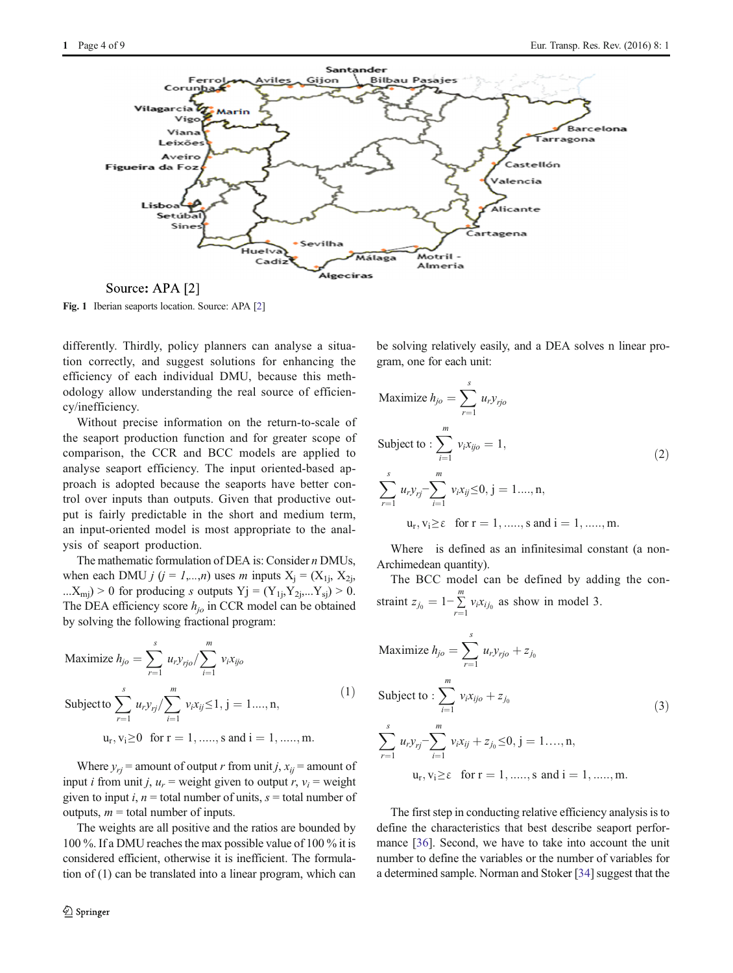<span id="page-3-0"></span>

Fig. 1 Iberian seaports location. Source: APA [[2\]](#page-7-0)

differently. Thirdly, policy planners can analyse a situation correctly, and suggest solutions for enhancing the efficiency of each individual DMU, because this methodology allow understanding the real source of efficiency/inefficiency.

Without precise information on the return-to-scale of the seaport production function and for greater scope of comparison, the CCR and BCC models are applied to analyse seaport efficiency. The input oriented-based approach is adopted because the seaports have better control over inputs than outputs. Given that productive output is fairly predictable in the short and medium term, an input-oriented model is most appropriate to the analysis of seaport production.

The mathematic formulation of DEA is: Consider n DMUs, when each DMU  $j$  ( $j = 1,...,n$ ) uses m inputs  $X_i = (X_{1i}, X_{2i})$ ... $X_{\text{mi}}$ ) > 0 for producing *s* outputs Yj = (Y<sub>1j</sub>,Y<sub>2j</sub>,...Y<sub>sj</sub>) > 0. The DEA efficiency score  $h_{io}$  in CCR model can be obtained by solving the following fractional program:

Maximize 
$$
h_{j0} = \sum_{r=1}^{s} u_r y_{rj0} / \sum_{i=1}^{m} v_i x_{ij0}
$$
  
\nSubject to  $\sum_{r=1}^{s} u_r y_{rj} / \sum_{i=1}^{m} v_i x_{ij} \le 1, j = 1..., n,$   
\n $u_r, v_i \ge 0 \text{ for } r = 1, ......., s \text{ and } i = 1, ......., m.$  (1)

Where  $y_{ri}$  = amount of output r from unit j,  $x_{ii}$  = amount of input *i* from unit *j*,  $u_r$  = weight given to output *r*,  $v_i$  = weight given to input *i*,  $n =$  total number of units,  $s =$  total number of outputs,  $m =$  total number of inputs.

The weights are all positive and the ratios are bounded by 100 %. If a DMU reaches the max possible value of 100 % it is considered efficient, otherwise it is inefficient. The formulation of (1) can be translated into a linear program, which can be solving relatively easily, and a DEA solves n linear program, one for each unit:

Maximize 
$$
h_{jo} = \sum_{r=1}^{s} u_r y_{rjo}
$$
  
\nSubject to:  $\sum_{i=1}^{m} v_i x_{ijo} = 1$ , (2)  
\n
$$
\sum_{r=1}^{s} u_r y_{rj} - \sum_{i=1}^{m} v_i x_{ij} \le 0, j = 1..., n,
$$
\n $u_r, v_i \ge \epsilon \text{ for } r = 1, ...., s \text{ and } i = 1, ...., m.$ 

Where is defined as an infinitesimal constant (a non-Archimedean quantity).

The BCC model can be defined by adding the constraint  $z_{j_0} = 1 - \sum_{r=1}^{m} v_i x_{ij_0}$  as show in model 3.

Maximize 
$$
h_{jo} = \sum_{r=1}^{s} u_r y_{rjo} + z_{j_0}
$$
  
\nSubject to: 
$$
\sum_{i=1}^{m} v_i x_{ijo} + z_{j_0}
$$
\n
$$
\sum_{r=1}^{s} u_r y_{rj} - \sum_{i=1}^{m} v_i x_{ij} + z_{j_0} \le 0, j = 1, ..., n,
$$
\n
$$
u_r, v_i \ge \varepsilon \quad \text{for } r = 1, ..., s \text{ and } i = 1, ..., m.
$$

The first step in conducting relative efficiency analysis is to define the characteristics that best describe seaport performance [\[36](#page-8-0)]. Second, we have to take into account the unit number to define the variables or the number of variables for a determined sample. Norman and Stoker [\[34\]](#page-8-0) suggest that the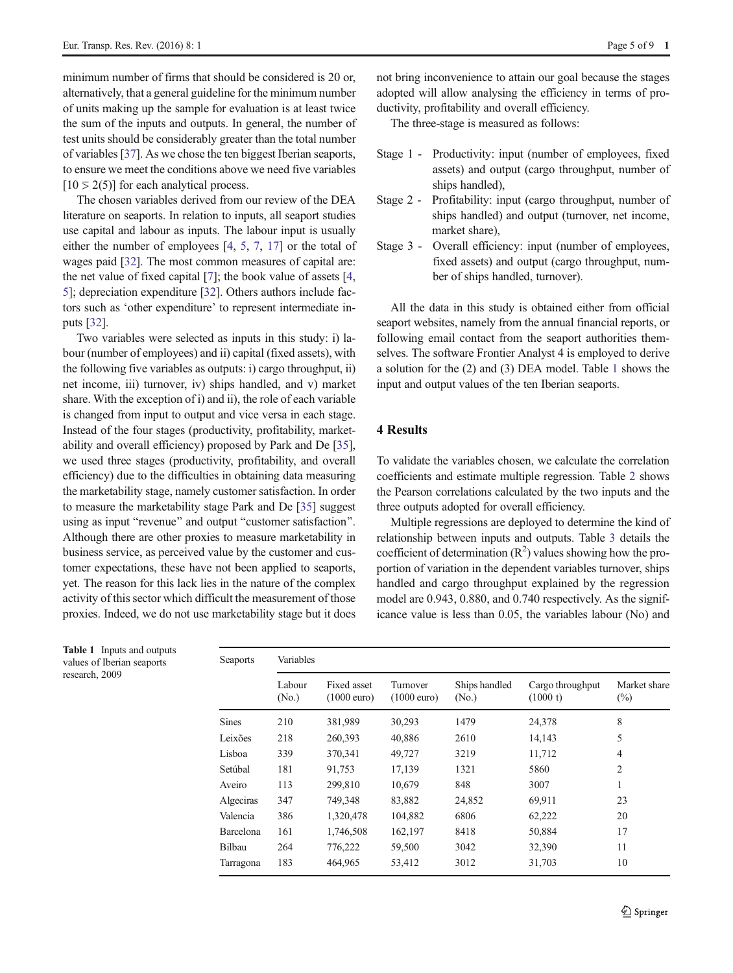<span id="page-4-0"></span>minimum number of firms that should be considered is 20 or, alternatively, that a general guideline for the minimum number of units making up the sample for evaluation is at least twice the sum of the inputs and outputs. In general, the number of test units should be considerably greater than the total number of variables [[37\]](#page-8-0). As we chose the ten biggest Iberian seaports, to ensure we meet the conditions above we need five variables  $[10 \ge 2(5)]$  for each analytical process.

The chosen variables derived from our review of the DEA literature on seaports. In relation to inputs, all seaport studies use capital and labour as inputs. The labour input is usually either the number of employees [[4](#page-7-0), [5](#page-7-0), [7](#page-8-0), [17\]](#page-8-0) or the total of wages paid [\[32\]](#page-8-0). The most common measures of capital are: the net value of fixed capital [[7](#page-8-0)]; the book value of assets [[4,](#page-7-0) [5\]](#page-7-0); depreciation expenditure [[32\]](#page-8-0). Others authors include factors such as 'other expenditure' to represent intermediate inputs [\[32\]](#page-8-0).

Two variables were selected as inputs in this study: i) labour (number of employees) and ii) capital (fixed assets), with the following five variables as outputs: i) cargo throughput, ii) net income, iii) turnover, iv) ships handled, and v) market share. With the exception of i) and ii), the role of each variable is changed from input to output and vice versa in each stage. Instead of the four stages (productivity, profitability, marketability and overall efficiency) proposed by Park and De [[35\]](#page-8-0), we used three stages (productivity, profitability, and overall efficiency) due to the difficulties in obtaining data measuring the marketability stage, namely customer satisfaction. In order to measure the marketability stage Park and De [\[35\]](#page-8-0) suggest using as input "revenue" and output "customer satisfaction". Although there are other proxies to measure marketability in business service, as perceived value by the customer and customer expectations, these have not been applied to seaports, yet. The reason for this lack lies in the nature of the complex activity of this sector which difficult the measurement of those proxies. Indeed, we do not use marketability stage but it does

not bring inconvenience to attain our goal because the stages adopted will allow analysing the efficiency in terms of productivity, profitability and overall efficiency.

The three-stage is measured as follows:

- Stage 1 Productivity: input (number of employees, fixed assets) and output (cargo throughput, number of ships handled),
- Stage 2 Profitability: input (cargo throughput, number of ships handled) and output (turnover, net income, market share),
- Stage 3 Overall efficiency: input (number of employees, fixed assets) and output (cargo throughput, number of ships handled, turnover).

All the data in this study is obtained either from official seaport websites, namely from the annual financial reports, or following email contact from the seaport authorities themselves. The software Frontier Analyst 4 is employed to derive a solution for the (2) and (3) DEA model. Table 1 shows the input and output values of the ten Iberian seaports.

## 4 Results

To validate the variables chosen, we calculate the correlation coefficients and estimate multiple regression. Table [2](#page-5-0) shows the Pearson correlations calculated by the two inputs and the three outputs adopted for overall efficiency.

Multiple regressions are deployed to determine the kind of relationship between inputs and outputs. Table [3](#page-5-0) details the coefficient of determination  $(R^2)$  values showing how the proportion of variation in the dependent variables turnover, ships handled and cargo throughput explained by the regression model are 0.943, 0.880, and 0.740 respectively. As the significance value is less than 0.05, the variables labour (No) and

| Seaports     | Variables                   |                                      |                                   |                                    |                              |                        |  |  |  |
|--------------|-----------------------------|--------------------------------------|-----------------------------------|------------------------------------|------------------------------|------------------------|--|--|--|
|              | Labour<br>(N <sub>0</sub> ) | Fixed asset<br>$(1000 \text{ euro})$ | Turnover<br>$(1000 \text{ euro})$ | Ships handled<br>(N <sub>0</sub> ) | Cargo throughput<br>(1000 t) | Market share<br>$(\%)$ |  |  |  |
| <b>Sines</b> | 210                         | 381,989                              | 30,293                            | 1479                               | 24,378                       | 8                      |  |  |  |
| Leixões      | 218                         | 260,393                              | 40,886                            | 2610                               | 14,143                       | 5                      |  |  |  |
| Lisboa       | 339                         | 370,341                              | 49,727                            | 3219                               | 11,712                       | 4                      |  |  |  |
| Setúbal      | 181                         | 91,753                               | 17,139                            | 1321                               | 5860                         | $\overline{2}$         |  |  |  |
| Aveiro       | 113                         | 299,810                              | 10,679                            | 848                                | 3007                         | 1                      |  |  |  |
| Algeciras    | 347                         | 749,348                              | 83,882                            | 24,852                             | 69,911                       | 23                     |  |  |  |
| Valencia     | 386                         | 1,320,478                            | 104,882                           | 6806                               | 62,222                       | 20                     |  |  |  |
| Barcelona    | 161                         | 1,746,508                            | 162,197                           | 8418                               | 50,884                       | 17                     |  |  |  |
| Bilbau       | 264                         | 776,222                              | 59,500                            | 3042                               | 32,390                       | 11                     |  |  |  |
| Tarragona    | 183                         | 464,965                              | 53,412                            | 3012                               | 31,703                       | 10                     |  |  |  |

Table 1 Inputs and outputs values of Iberian seaports research, 2009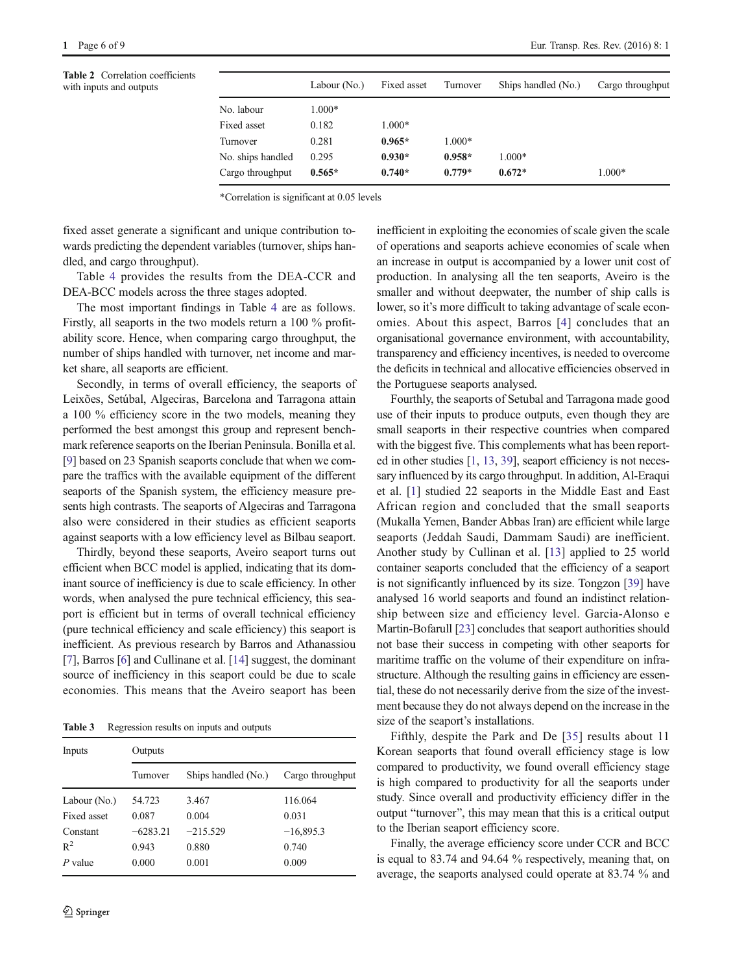|                   | Labour (No.) | Fixed asset | Turnover | Ships handled (No.) | Cargo throughput |
|-------------------|--------------|-------------|----------|---------------------|------------------|
| No. labour        | $1.000*$     |             |          |                     |                  |
| Fixed asset       | 0.182        | $1.000*$    |          |                     |                  |
| Turnover          | 0.281        | $0.965*$    | $1.000*$ |                     |                  |
| No. ships handled | 0.295        | $0.930*$    | $0.958*$ | $1.000*$            |                  |
| Cargo throughput  | $0.565*$     | $0.740*$    | $0.779*$ | $0.672*$            | $1.000*$         |

\*Correlation is significant at 0.05 levels

fixed asset generate a significant and unique contribution towards predicting the dependent variables (turnover, ships handled, and cargo throughput).

Table [4](#page-6-0) provides the results from the DEA-CCR and DEA-BCC models across the three stages adopted.

The most important findings in Table [4](#page-6-0) are as follows. Firstly, all seaports in the two models return a 100 % profitability score. Hence, when comparing cargo throughput, the number of ships handled with turnover, net income and market share, all seaports are efficient.

Secondly, in terms of overall efficiency, the seaports of Leixões, Setúbal, Algeciras, Barcelona and Tarragona attain a 100 % efficiency score in the two models, meaning they performed the best amongst this group and represent benchmark reference seaports on the Iberian Peninsula. Bonilla et al. [\[9](#page-8-0)] based on 23 Spanish seaports conclude that when we compare the traffics with the available equipment of the different seaports of the Spanish system, the efficiency measure presents high contrasts. The seaports of Algeciras and Tarragona also were considered in their studies as efficient seaports against seaports with a low efficiency level as Bilbau seaport.

Thirdly, beyond these seaports, Aveiro seaport turns out efficient when BCC model is applied, indicating that its dominant source of inefficiency is due to scale efficiency. In other words, when analysed the pure technical efficiency, this seaport is efficient but in terms of overall technical efficiency (pure technical efficiency and scale efficiency) this seaport is inefficient. As previous research by Barros and Athanassiou [\[7](#page-8-0)], Barros [\[6](#page-8-0)] and Cullinane et al. [\[14\]](#page-8-0) suggest, the dominant source of inefficiency in this seaport could be due to scale economies. This means that the Aveiro seaport has been

Table 3 Regression results on inputs and outputs

| Inputs       | Outputs    |                     |                  |  |  |  |  |
|--------------|------------|---------------------|------------------|--|--|--|--|
|              | Turnover   | Ships handled (No.) | Cargo throughput |  |  |  |  |
| Labour (No.) | 54.723     | 3.467               | 116.064          |  |  |  |  |
| Fixed asset  | 0.087      | 0.004               | 0.031            |  |  |  |  |
| Constant     | $-6283.21$ | $-215.529$          | $-16,895.3$      |  |  |  |  |
| $R^2$        | 0.943      | 0.880               | 0.740            |  |  |  |  |
| P value      | 0.000      | 0.001               | 0.009            |  |  |  |  |

<span id="page-5-0"></span>1 Page 6 of 9 Eur. Transp. Res. Rev. (2016) 8: 1

inefficient in exploiting the economies of scale given the scale of operations and seaports achieve economies of scale when an increase in output is accompanied by a lower unit cost of production. In analysing all the ten seaports, Aveiro is the smaller and without deepwater, the number of ship calls is lower, so it's more difficult to taking advantage of scale economies. About this aspect, Barros [[4](#page-7-0)] concludes that an organisational governance environment, with accountability, transparency and efficiency incentives, is needed to overcome the deficits in technical and allocative efficiencies observed in the Portuguese seaports analysed.

Fourthly, the seaports of Setubal and Tarragona made good use of their inputs to produce outputs, even though they are small seaports in their respective countries when compared with the biggest five. This complements what has been reported in other studies [[1](#page-7-0), [13](#page-8-0), [39\]](#page-8-0), seaport efficiency is not necessary influenced by its cargo throughput. In addition, Al-Eraqui et al. [[1\]](#page-7-0) studied 22 seaports in the Middle East and East African region and concluded that the small seaports (Mukalla Yemen, Bander Abbas Iran) are efficient while large seaports (Jeddah Saudi, Dammam Saudi) are inefficient. Another study by Cullinan et al. [\[13](#page-8-0)] applied to 25 world container seaports concluded that the efficiency of a seaport is not significantly influenced by its size. Tongzon [\[39\]](#page-8-0) have analysed 16 world seaports and found an indistinct relationship between size and efficiency level. Garcia-Alonso e Martin-Bofarull [[23\]](#page-8-0) concludes that seaport authorities should not base their success in competing with other seaports for maritime traffic on the volume of their expenditure on infrastructure. Although the resulting gains in efficiency are essential, these do not necessarily derive from the size of the investment because they do not always depend on the increase in the size of the seaport's installations.

Fifthly, despite the Park and De [[35](#page-8-0)] results about 11 Korean seaports that found overall efficiency stage is low compared to productivity, we found overall efficiency stage is high compared to productivity for all the seaports under study. Since overall and productivity efficiency differ in the output "turnover", this may mean that this is a critical output to the Iberian seaport efficiency score.

Finally, the average efficiency score under CCR and BCC is equal to 83.74 and 94.64 % respectively, meaning that, on average, the seaports analysed could operate at 83.74 % and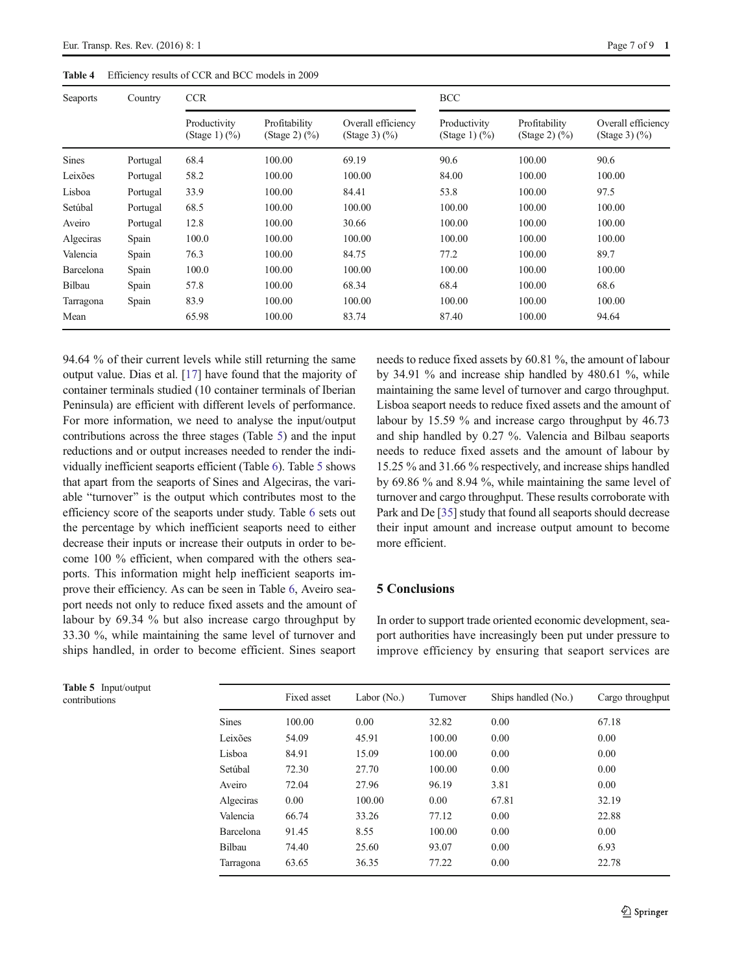<span id="page-6-0"></span>

| Seaports     | Country  | <b>CCR</b>                                |                                            |                                                 | <b>BCC</b>                                |                                            |                                                 |
|--------------|----------|-------------------------------------------|--------------------------------------------|-------------------------------------------------|-------------------------------------------|--------------------------------------------|-------------------------------------------------|
|              |          | Productivity<br>(Stage 1) $(\frac{9}{0})$ | Profitability<br>(Stage 2) $(\frac{9}{0})$ | Overall efficiency<br>(Stage 3) $(\frac{9}{0})$ | Productivity<br>(Stage 1) $(\frac{9}{6})$ | Profitability<br>(Stage 2) $(\frac{9}{0})$ | Overall efficiency<br>(Stage 3) $(\frac{9}{0})$ |
| <b>Sines</b> | Portugal | 68.4                                      | 100.00                                     | 69.19                                           | 90.6                                      | 100.00                                     | 90.6                                            |
| Leixões      | Portugal | 58.2                                      | 100.00                                     | 100.00                                          | 84.00                                     | 100.00                                     | 100.00                                          |
| Lisboa       | Portugal | 33.9                                      | 100.00                                     | 84.41                                           | 53.8                                      | 100.00                                     | 97.5                                            |
| Setúbal      | Portugal | 68.5                                      | 100.00                                     | 100.00                                          | 100.00                                    | 100.00                                     | 100.00                                          |
| Aveiro       | Portugal | 12.8                                      | 100.00                                     | 30.66                                           | 100.00                                    | 100.00                                     | 100.00                                          |
| Algeciras    | Spain    | 100.0                                     | 100.00                                     | 100.00                                          | 100.00                                    | 100.00                                     | 100.00                                          |
| Valencia     | Spain    | 76.3                                      | 100.00                                     | 84.75                                           | 77.2                                      | 100.00                                     | 89.7                                            |
| Barcelona    | Spain    | 100.0                                     | 100.00                                     | 100.00                                          | 100.00                                    | 100.00                                     | 100.00                                          |
| Bilbau       | Spain    | 57.8                                      | 100.00                                     | 68.34                                           | 68.4                                      | 100.00                                     | 68.6                                            |
| Tarragona    | Spain    | 83.9                                      | 100.00                                     | 100.00                                          | 100.00                                    | 100.00                                     | 100.00                                          |
| Mean         |          | 65.98                                     | 100.00                                     | 83.74                                           | 87.40                                     | 100.00                                     | 94.64                                           |

94.64 % of their current levels while still returning the same output value. Dias et al. [[17\]](#page-8-0) have found that the majority of container terminals studied (10 container terminals of Iberian Peninsula) are efficient with different levels of performance. For more information, we need to analyse the input/output contributions across the three stages (Table 5) and the input reductions and or output increases needed to render the individually inefficient seaports efficient (Table [6\)](#page-7-0). Table 5 shows that apart from the seaports of Sines and Algeciras, the variable "turnover" is the output which contributes most to the efficiency score of the seaports under study. Table [6](#page-7-0) sets out the percentage by which inefficient seaports need to either decrease their inputs or increase their outputs in order to become 100 % efficient, when compared with the others seaports. This information might help inefficient seaports improve their efficiency. As can be seen in Table [6,](#page-7-0) Aveiro seaport needs not only to reduce fixed assets and the amount of labour by 69.34 % but also increase cargo throughput by 33.30 %, while maintaining the same level of turnover and ships handled, in order to become efficient. Sines seaport

needs to reduce fixed assets by 60.81 %, the amount of labour by 34.91 % and increase ship handled by 480.61 %, while maintaining the same level of turnover and cargo throughput. Lisboa seaport needs to reduce fixed assets and the amount of labour by 15.59 % and increase cargo throughput by 46.73 and ship handled by 0.27 %. Valencia and Bilbau seaports needs to reduce fixed assets and the amount of labour by 15.25 % and 31.66 % respectively, and increase ships handled by 69.86 % and 8.94 %, while maintaining the same level of turnover and cargo throughput. These results corroborate with Park and De [[35](#page-8-0)] study that found all seaports should decrease their input amount and increase output amount to become more efficient.

#### 5 Conclusions

In order to support trade oriented economic development, seaport authorities have increasingly been put under pressure to improve efficiency by ensuring that seaport services are

| <b>Lable</b> $\sigma$ impublique<br>contributions |              | Fixed asset | Labor $(N0)$ | Turnover | Ships handled (No.) | Cargo throughput |
|---------------------------------------------------|--------------|-------------|--------------|----------|---------------------|------------------|
|                                                   | <b>Sines</b> | 100.00      | 0.00         | 32.82    | 0.00                | 67.18            |
|                                                   | Leixões      | 54.09       | 45.91        | 100.00   | 0.00                | 0.00             |
|                                                   | Lisboa       | 84.91       | 15.09        | 100.00   | 0.00                | 0.00             |
|                                                   | Setúbal      | 72.30       | 27.70        | 100.00   | 0.00                | 0.00             |
|                                                   | Aveiro       | 72.04       | 27.96        | 96.19    | 3.81                | 0.00             |
|                                                   | Algeciras    | 0.00        | 100.00       | 0.00     | 67.81               | 32.19            |
|                                                   | Valencia     | 66.74       | 33.26        | 77.12    | 0.00                | 22.88            |
|                                                   | Barcelona    | 91.45       | 8.55         | 100.00   | 0.00                | 0.00             |
|                                                   | Bilbau       | 74.40       | 25.60        | 93.07    | 0.00                | 6.93             |
|                                                   | Tarragona    | 63.65       | 36.35        | 77.22    | 0.00                | 22.78            |
|                                                   |              |             |              |          |                     |                  |

Table 5 Input/output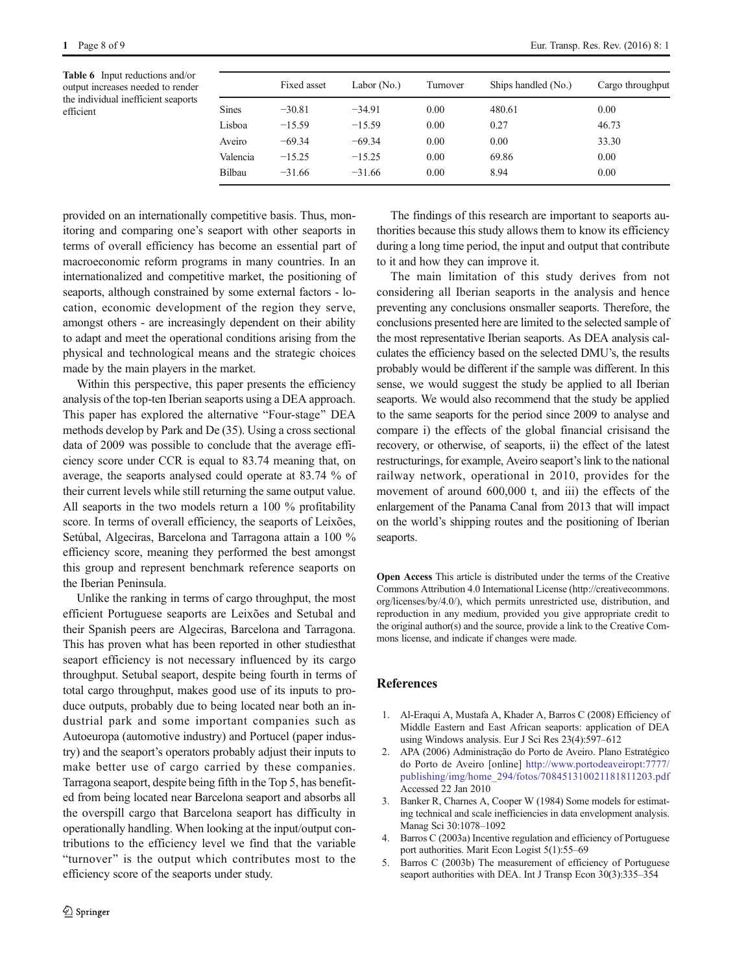<span id="page-7-0"></span>Table 6 Input reductions and/or output increases needed to render the individual inefficient seaports efficient

| Fixed asset | Labor $(N0)$ | Turnover | Ships handled (No.) | Cargo throughput |
|-------------|--------------|----------|---------------------|------------------|
| $-30.81$    | $-34.91$     | 0.00     | 480.61              | 0.00             |
| $-15.59$    | $-15.59$     | 0.00     | 0.27                | 46.73            |
| $-69.34$    | $-69.34$     | 0.00     | 0.00                | 33.30            |
| $-15.25$    | $-15.25$     | 0.00     | 69.86               | 0.00             |
| $-31.66$    | $-31.66$     | 0.00     | 8.94                | 0.00             |
|             |              |          |                     |                  |

provided on an internationally competitive basis. Thus, monitoring and comparing one's seaport with other seaports in terms of overall efficiency has become an essential part of macroeconomic reform programs in many countries. In an internationalized and competitive market, the positioning of seaports, although constrained by some external factors - location, economic development of the region they serve, amongst others - are increasingly dependent on their ability to adapt and meet the operational conditions arising from the physical and technological means and the strategic choices made by the main players in the market.

Within this perspective, this paper presents the efficiency analysis of the top-ten Iberian seaports using a DEA approach. This paper has explored the alternative "Four-stage" DEA methods develop by Park and De (35). Using a cross sectional data of 2009 was possible to conclude that the average efficiency score under CCR is equal to 83.74 meaning that, on average, the seaports analysed could operate at 83.74 % of their current levels while still returning the same output value. All seaports in the two models return a 100 % profitability score. In terms of overall efficiency, the seaports of Leixões, Setúbal, Algeciras, Barcelona and Tarragona attain a 100 % efficiency score, meaning they performed the best amongst this group and represent benchmark reference seaports on the Iberian Peninsula.

Unlike the ranking in terms of cargo throughput, the most efficient Portuguese seaports are Leixões and Setubal and their Spanish peers are Algeciras, Barcelona and Tarragona. This has proven what has been reported in other studiesthat seaport efficiency is not necessary influenced by its cargo throughput. Setubal seaport, despite being fourth in terms of total cargo throughput, makes good use of its inputs to produce outputs, probably due to being located near both an industrial park and some important companies such as Autoeuropa (automotive industry) and Portucel (paper industry) and the seaport's operators probably adjust their inputs to make better use of cargo carried by these companies. Tarragona seaport, despite being fifth in the Top 5, has benefited from being located near Barcelona seaport and absorbs all the overspill cargo that Barcelona seaport has difficulty in operationally handling. When looking at the input/output contributions to the efficiency level we find that the variable "turnover" is the output which contributes most to the efficiency score of the seaports under study.

The findings of this research are important to seaports authorities because this study allows them to know its efficiency during a long time period, the input and output that contribute to it and how they can improve it.

The main limitation of this study derives from not considering all Iberian seaports in the analysis and hence preventing any conclusions onsmaller seaports. Therefore, the conclusions presented here are limited to the selected sample of the most representative Iberian seaports. As DEA analysis calculates the efficiency based on the selected DMU's, the results probably would be different if the sample was different. In this sense, we would suggest the study be applied to all Iberian seaports. We would also recommend that the study be applied to the same seaports for the period since 2009 to analyse and compare i) the effects of the global financial crisisand the recovery, or otherwise, of seaports, ii) the effect of the latest restructurings, for example, Aveiro seaport's link to the national railway network, operational in 2010, provides for the movement of around 600,000 t, and iii) the effects of the enlargement of the Panama Canal from 2013 that will impact on the world's shipping routes and the positioning of Iberian seaports.

Open Access This article is distributed under the terms of the Creative Commons Attribution 4.0 International License (http://creativecommons. org/licenses/by/4.0/), which permits unrestricted use, distribution, and reproduction in any medium, provided you give appropriate credit to the original author(s) and the source, provide a link to the Creative Commons license, and indicate if changes were made.

# References

- 1. Al-Eraqui A, Mustafa A, Khader A, Barros C (2008) Efficiency of Middle Eastern and East African seaports: application of DEA using Windows analysis. Eur J Sci Res 23(4):597–612
- 2. APA (2006) Administração do Porto de Aveiro. Plano Estratégico do Porto de Aveiro [online] [http://www.portodeaveiropt:7777/](http://www.portodeaveiropt:7777/publishing/img/home_294/fotos/708451310021181811203.pdf) [publishing/img/home\\_294/fotos/708451310021181811203.pdf](http://www.portodeaveiropt:7777/publishing/img/home_294/fotos/708451310021181811203.pdf) Accessed 22 Jan 2010
- 3. Banker R, Charnes A, Cooper W (1984) Some models for estimating technical and scale inefficiencies in data envelopment analysis. Manag Sci 30:1078–1092
- 4. Barros C (2003a) Incentive regulation and efficiency of Portuguese port authorities. Marit Econ Logist 5(1):55–69
- 5. Barros C (2003b) The measurement of efficiency of Portuguese seaport authorities with DEA. Int J Transp Econ 30(3):335-354